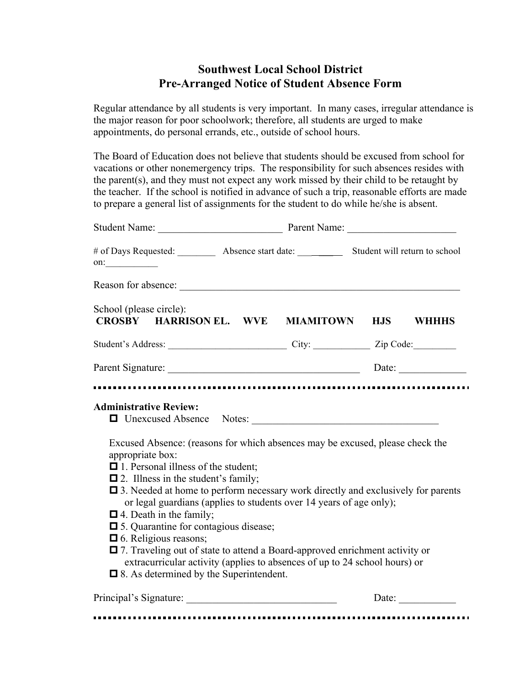## **Southwest Local School District Pre-Arranged Notice of Student Absence Form**

Regular attendance by all students is very important. In many cases, irregular attendance is the major reason for poor schoolwork; therefore, all students are urged to make appointments, do personal errands, etc., outside of school hours.

The Board of Education does not believe that students should be excused from school for vacations or other nonemergency trips. The responsibility for such absences resides with the parent(s), and they must not expect any work missed by their child to be retaught by the teacher. If the school is notified in advance of such a trip, reasonable efforts are made to prepare a general list of assignments for the student to do while he/she is absent.

| # of Days Requested: ___________ Absence start date: ______________ Student will return to school<br>$\mathsf{on}:$                                                                                                                                                                                                                                                                                                                                                                                                                                                                                                                                                     |  |       |  |  |
|-------------------------------------------------------------------------------------------------------------------------------------------------------------------------------------------------------------------------------------------------------------------------------------------------------------------------------------------------------------------------------------------------------------------------------------------------------------------------------------------------------------------------------------------------------------------------------------------------------------------------------------------------------------------------|--|-------|--|--|
|                                                                                                                                                                                                                                                                                                                                                                                                                                                                                                                                                                                                                                                                         |  |       |  |  |
| School (please circle):<br>CROSBY HARRISON EL. WVE MIAMITOWN HJS WHHHS                                                                                                                                                                                                                                                                                                                                                                                                                                                                                                                                                                                                  |  |       |  |  |
|                                                                                                                                                                                                                                                                                                                                                                                                                                                                                                                                                                                                                                                                         |  |       |  |  |
| Parent Signature: Date: Date:                                                                                                                                                                                                                                                                                                                                                                                                                                                                                                                                                                                                                                           |  |       |  |  |
| Excused Absence: (reasons for which absences may be excused, please check the<br>appropriate box:<br>$\Box$ 1. Personal illness of the student;<br>$\Box$ 2. Illness in the student's family;<br>$\Box$ 3. Needed at home to perform necessary work directly and exclusively for parents<br>or legal guardians (applies to students over 14 years of age only);<br>$\Box$ 4. Death in the family;<br><b><math>\Box</math></b> 5. Quarantine for contagious disease;<br>$\Box$ 6. Religious reasons;<br>$\Box$ 7. Traveling out of state to attend a Board-approved enrichment activity or<br>extracurricular activity (applies to absences of up to 24 school hours) or |  |       |  |  |
| $\Box$ 8. As determined by the Superintendent.                                                                                                                                                                                                                                                                                                                                                                                                                                                                                                                                                                                                                          |  |       |  |  |
| Principal's Signature:                                                                                                                                                                                                                                                                                                                                                                                                                                                                                                                                                                                                                                                  |  | Date: |  |  |

-----------------------------------